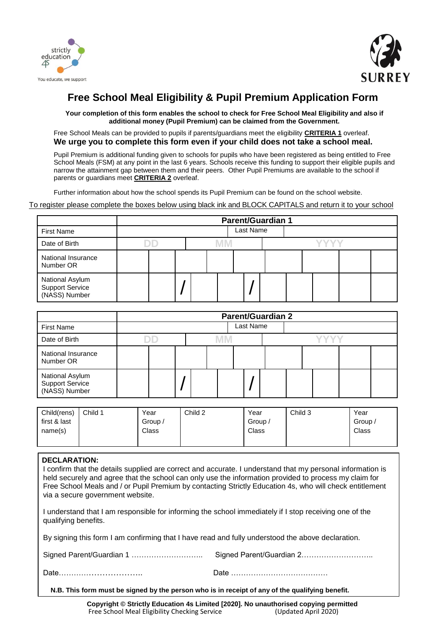



## **Free School Meal Eligibility & Pupil Premium Application Form**

**Your completion of this form enables the school to check for Free School Meal Eligibility and also if additional money (Pupil Premium) can be claimed from the Government.** 

Free School Meals can be provided to pupils if parents/guardians meet the eligibility **CRITERIA 1** overleaf. **We urge you to complete this form even if your child does not take a school meal.** 

Pupil Premium is additional funding given to schools for pupils who have been registered as being entitled to Free School Meals (FSM) at any point in the last 6 years. Schools receive this funding to support their eligible pupils and narrow the attainment gap between them and their peers. Other Pupil Premiums are available to the school if parents or guardians meet **CRITERIA 2** overleaf.

Further information about how the school spends its Pupil Premium can be found on the school website.

To register please complete the boxes below using black ink and BLOCK CAPITALS and return it to your school

|                                                     | <b>Parent/Guardian 1</b> |  |           |  |  |  |  |  |
|-----------------------------------------------------|--------------------------|--|-----------|--|--|--|--|--|
| <b>First Name</b>                                   |                          |  | Last Name |  |  |  |  |  |
| Date of Birth                                       |                          |  |           |  |  |  |  |  |
| National Insurance<br>Number OR                     |                          |  |           |  |  |  |  |  |
| National Asylum<br>Support Service<br>(NASS) Number |                          |  |           |  |  |  |  |  |

|                                                            | <b>Parent/Guardian 2</b> |  |  |  |  |  |           |  |  |  |  |  |  |
|------------------------------------------------------------|--------------------------|--|--|--|--|--|-----------|--|--|--|--|--|--|
| <b>First Name</b>                                          |                          |  |  |  |  |  | Last Name |  |  |  |  |  |  |
| Date of Birth                                              |                          |  |  |  |  |  |           |  |  |  |  |  |  |
| National Insurance<br>Number OR                            |                          |  |  |  |  |  |           |  |  |  |  |  |  |
| National Asylum<br><b>Support Service</b><br>(NASS) Number |                          |  |  |  |  |  |           |  |  |  |  |  |  |

| Child(rens)  | Child 1 | Year         | Child 2 | Year    | Child 3 | Year    |
|--------------|---------|--------------|---------|---------|---------|---------|
| first & last |         | Group /      |         | Group / |         | Group / |
| name(s)      |         | <b>Class</b> |         | Class   |         | Class   |
|              |         |              |         |         |         |         |

## **DECLARATION:**

I confirm that the details supplied are correct and accurate. I understand that my personal information is held securely and agree that the school can only use the information provided to process my claim for Free School Meals and / or Pupil Premium by contacting Strictly Education 4s, who will check entitlement via a secure government website.

I understand that I am responsible for informing the school immediately if I stop receiving one of the qualifying benefits.

By signing this form I am confirming that I have read and fully understood the above declaration.

Date………………………….. Date …………………………………

**N.B. This form must be signed by the person who is in receipt of any of the qualifying benefit.**

**Copyright © Strictly Education 4s Limited [2020]. No unauthorised copying permitted** Free School Meal Eligibility Checking Service